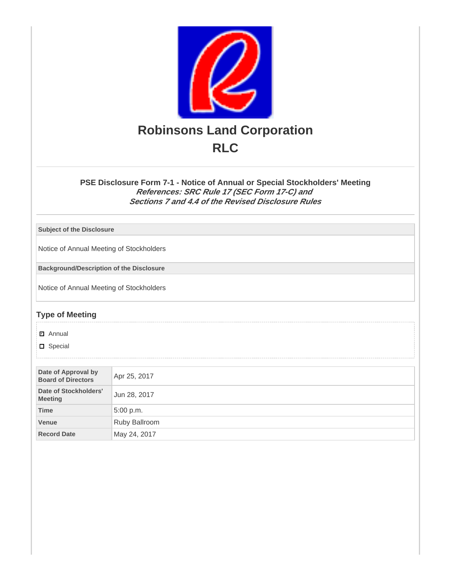

# **PSE Disclosure Form 7-1 - Notice of Annual or Special Stockholders' Meeting References: SRC Rule 17 (SEC Form 17-C) and Sections 7 and 4.4 of the Revised Disclosure Rules**

**Subject of the Disclosure**

Notice of Annual Meeting of Stockholders

**Background/Description of the Disclosure**

Notice of Annual Meeting of Stockholders

# **Type of Meeting**

Annual ✔

**D** Special

| Date of Approval by<br><b>Board of Directors</b> | Apr 25, 2017  |
|--------------------------------------------------|---------------|
| Date of Stockholders'<br><b>Meeting</b>          | Jun 28, 2017  |
| <b>Time</b>                                      | 5:00 p.m.     |
| Venue                                            | Ruby Ballroom |
| <b>Record Date</b>                               | May 24, 2017  |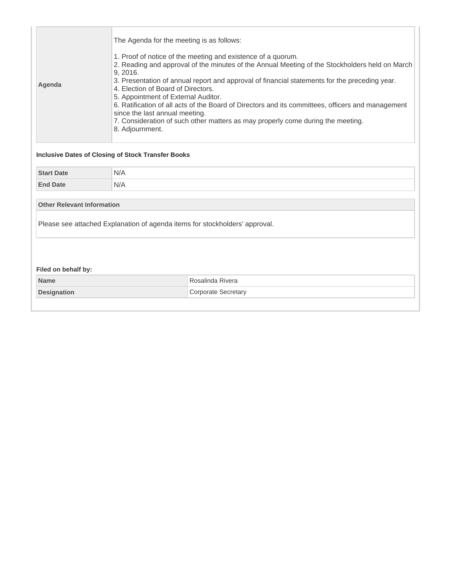| The Agenda for the meeting is as follows:<br>1. Proof of notice of the meeting and existence of a quorum.<br>2. Reading and approval of the minutes of the Annual Meeting of the Stockholders held on March<br>9, 2016.<br>3. Presentation of annual report and approval of financial statements for the preceding year.<br>Agenda<br>4. Election of Board of Directors.<br>5. Appointment of External Auditor.<br>6. Ratification of all acts of the Board of Directors and its committees, officers and management<br>since the last annual meeting.<br>7. Consideration of such other matters as may properly come during the meeting.<br>8. Adjournment.<br><b>Inclusive Dates of Closing of Stock Transfer Books</b> |     |                            |  |  |
|---------------------------------------------------------------------------------------------------------------------------------------------------------------------------------------------------------------------------------------------------------------------------------------------------------------------------------------------------------------------------------------------------------------------------------------------------------------------------------------------------------------------------------------------------------------------------------------------------------------------------------------------------------------------------------------------------------------------------|-----|----------------------------|--|--|
|                                                                                                                                                                                                                                                                                                                                                                                                                                                                                                                                                                                                                                                                                                                           |     |                            |  |  |
| <b>Start Date</b>                                                                                                                                                                                                                                                                                                                                                                                                                                                                                                                                                                                                                                                                                                         | N/A |                            |  |  |
| <b>End Date</b>                                                                                                                                                                                                                                                                                                                                                                                                                                                                                                                                                                                                                                                                                                           | N/A |                            |  |  |
| <b>Other Relevant Information</b>                                                                                                                                                                                                                                                                                                                                                                                                                                                                                                                                                                                                                                                                                         |     |                            |  |  |
| Please see attached Explanation of agenda items for stockholders' approval.                                                                                                                                                                                                                                                                                                                                                                                                                                                                                                                                                                                                                                               |     |                            |  |  |
| Filed on behalf by:                                                                                                                                                                                                                                                                                                                                                                                                                                                                                                                                                                                                                                                                                                       |     |                            |  |  |
| <b>Name</b>                                                                                                                                                                                                                                                                                                                                                                                                                                                                                                                                                                                                                                                                                                               |     | Rosalinda Rivera           |  |  |
| <b>Designation</b>                                                                                                                                                                                                                                                                                                                                                                                                                                                                                                                                                                                                                                                                                                        |     | <b>Corporate Secretary</b> |  |  |
|                                                                                                                                                                                                                                                                                                                                                                                                                                                                                                                                                                                                                                                                                                                           |     |                            |  |  |